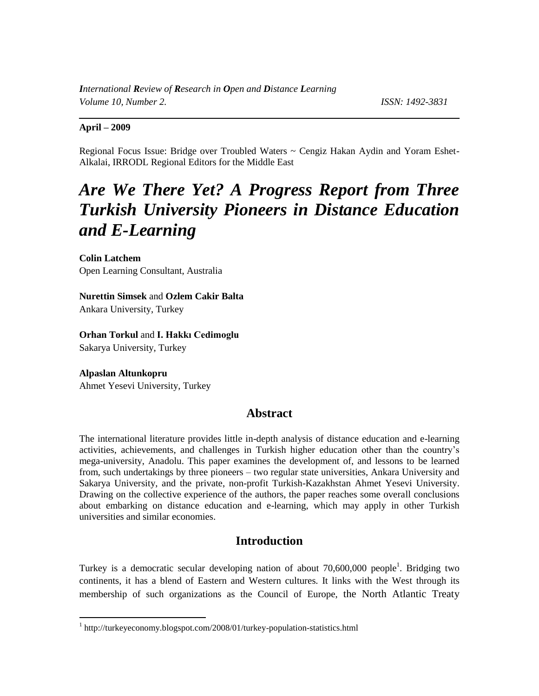#### **April – 2009**

Regional Focus Issue: Bridge over Troubled Waters ~ Cengiz Hakan Aydin and Yoram Eshet-Alkalai, IRRODL Regional Editors for the Middle East

# *Are We There Yet? A Progress Report from Three Turkish University Pioneers in Distance Education and E-Learning*

**Colin Latchem** Open Learning Consultant, Australia

**Nurettin Simsek** and **Ozlem Cakir Balta** Ankara University, Turkey

**Orhan Torkul** and **I. Hakkı Cedimoglu** Sakarya University, Turkey

**Alpaslan Altunkopru** Ahmet Yesevi University, Turkey

 $\overline{a}$ 

### **Abstract**

The international literature provides little in-depth analysis of distance education and e-learning activities, achievements, and challenges in Turkish higher education other than the country's mega-university, Anadolu. This paper examines the development of, and lessons to be learned from, such undertakings by three pioneers – two regular state universities, Ankara University and Sakarya University, and the private, non-profit Turkish-Kazakhstan Ahmet Yesevi University. Drawing on the collective experience of the authors, the paper reaches some overall conclusions about embarking on distance education and e-learning, which may apply in other Turkish universities and similar economies.

### **Introduction**

Turkey is a democratic secular developing nation of about 70,600,000 people<sup>1</sup>. Bridging two continents, it has a blend of Eastern and Western cultures. It links with the West through its membership of such organizations as the Council of Europe, the North Atlantic Treaty

<sup>&</sup>lt;sup>1</sup> http://turkeyeconomy.blogspot.com/2008/01/turkey-population-statistics.html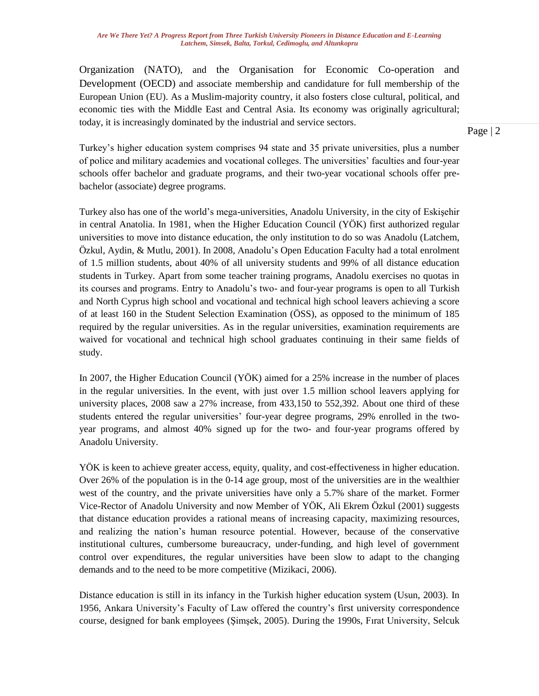Organization (NATO), and the Organisation for Economic Co-operation and Development (OECD) and associate membership and candidature for full membership of the European Union (EU). As a Muslim-majority country, it also fosters close cultural, political, and economic ties with the Middle East and Central Asia. Its economy was originally agricultural; today, it is increasingly dominated by the industrial and service sectors.

Turkey's higher education system comprises 94 state and 35 private universities, plus a number of police and military academies and vocational colleges. The universities' faculties and four-year schools offer bachelor and graduate programs, and their two-year vocational schools offer prebachelor (associate) degree programs.

Turkey also has one of the world's mega-universities, Anadolu University, in the city of Eskişehir in central Anatolia. In 1981, when the Higher Education Council (YÖK) first authorized regular universities to move into distance education, the only institution to do so was Anadolu (Latchem, Özkul, Aydin, & Mutlu, 2001). In 2008, Anadolu's Open Education Faculty had a total enrolment of 1.5 million students, about 40% of all university students and 99% of all distance education students in Turkey. Apart from some teacher training programs, Anadolu exercises no quotas in its courses and programs. Entry to Anadolu's two- and four-year programs is open to all Turkish and North Cyprus high school and vocational and technical high school leavers achieving a score of at least 160 in the Student Selection Examination (ÖSS), as opposed to the minimum of 185 required by the regular universities. As in the regular universities, examination requirements are waived for vocational and technical high school graduates continuing in their same fields of study.

In 2007, the Higher Education Council (YÖK) aimed for a 25% increase in the number of places in the regular universities. In the event, with just over 1.5 million school leavers applying for university places, 2008 saw a 27% increase, from 433,150 to 552,392. About one third of these students entered the regular universities' four-year degree programs, 29% enrolled in the twoyear programs, and almost 40% signed up for the two- and four-year programs offered by Anadolu University.

YÖK is keen to achieve greater access, equity, quality, and cost-effectiveness in higher education. Over 26% of the population is in the 0-14 age group, most of the universities are in the wealthier west of the country, and the private universities have only a 5.7% share of the market. Former Vice-Rector of Anadolu University and now Member of YÖK, Ali Ekrem Özkul (2001) suggests that distance education provides a rational means of increasing capacity, maximizing resources, and realizing the nation's human resource potential. However, because of the conservative institutional cultures, cumbersome bureaucracy, under-funding, and high level of government control over expenditures, the regular universities have been slow to adapt to the changing demands and to the need to be more competitive (Mizikaci, 2006).

Distance education is still in its infancy in the Turkish higher education system (Usun, 2003). In 1956, Ankara University's Faculty of Law offered the country's first university correspondence course, designed for bank employees (Şimşek, 2005). During the 1990s, Fırat University, Selcuk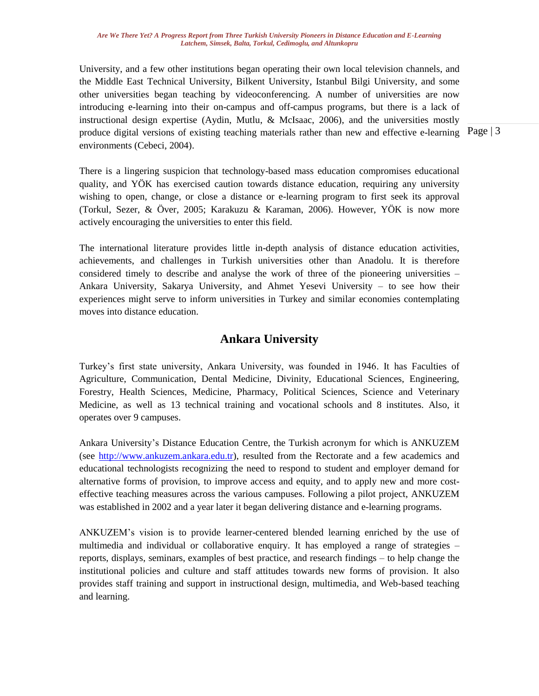produce digital versions of existing teaching materials rather than new and effective e-learning Page  $\vert$  3 University, and a few other institutions began operating their own local television channels, and the Middle East Technical University, Bilkent University, Istanbul Bilgi University, and some other universities began teaching by videoconferencing. A number of universities are now introducing e-learning into their on-campus and off-campus programs, but there is a lack of instructional design expertise (Aydin, Mutlu, & McIsaac, 2006), and the universities mostly environments (Cebeci, 2004).

There is a lingering suspicion that technology-based mass education compromises educational quality, and YÖK has exercised caution towards distance education, requiring any university wishing to open, change, or close a distance or e-learning program to first seek its approval (Torkul, Sezer, & Över, 2005; Karakuzu & Karaman, 2006). However, YÖK is now more actively encouraging the universities to enter this field.

The international literature provides little in-depth analysis of distance education activities, achievements, and challenges in Turkish universities other than Anadolu. It is therefore considered timely to describe and analyse the work of three of the pioneering universities – Ankara University, Sakarya University, and Ahmet Yesevi University – to see how their experiences might serve to inform universities in Turkey and similar economies contemplating moves into distance education.

# **Ankara University**

Turkey's first state university, Ankara University, was founded in 1946. It has Faculties of Agriculture, Communication, Dental Medicine, Divinity, Educational Sciences, Engineering, Forestry, Health Sciences, Medicine, Pharmacy, Political Sciences, Science and Veterinary Medicine, as well as 13 technical training and vocational schools and 8 institutes. Also, it operates over 9 campuses.

Ankara University's Distance Education Centre, the Turkish acronym for which is ANKUZEM (see [http://www.ankuzem.ankara.edu.tr\)](http://www.ankuzem.ankara.edu.tr/), resulted from the Rectorate and a few academics and educational technologists recognizing the need to respond to student and employer demand for alternative forms of provision, to improve access and equity, and to apply new and more costeffective teaching measures across the various campuses. Following a pilot project, ANKUZEM was established in 2002 and a year later it began delivering distance and e-learning programs.

ANKUZEM's vision is to provide learner-centered blended learning enriched by the use of multimedia and individual or collaborative enquiry. It has employed a range of strategies – reports, displays, seminars, examples of best practice, and research findings – to help change the institutional policies and culture and staff attitudes towards new forms of provision. It also provides staff training and support in instructional design, multimedia, and Web-based teaching and learning.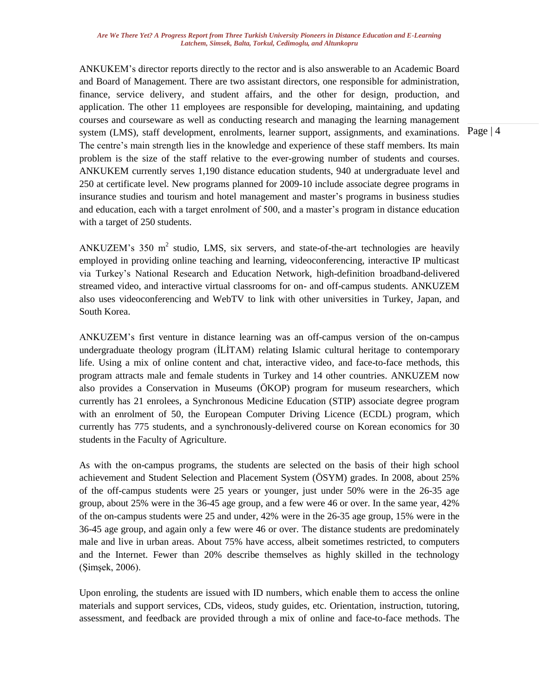#### *Are We There Yet? A Progress Report from Three Turkish University Pioneers in Distance Education and E-Learning Latchem, Simsek, Balta, Torkul, Cedimoglu, and Altunkopru*

system (LMS), staff development, enrolments, learner support, assignments, and examinations. Page | 4 ANKUKEM's director reports directly to the rector and is also answerable to an Academic Board and Board of Management. There are two assistant directors, one responsible for administration, finance, service delivery, and student affairs, and the other for design, production, and application. The other 11 employees are responsible for developing, maintaining, and updating courses and courseware as well as conducting research and managing the learning management The centre's main strength lies in the knowledge and experience of these staff members. Its main problem is the size of the staff relative to the ever-growing number of students and courses. ANKUKEM currently serves 1,190 distance education students, 940 at undergraduate level and 250 at certificate level. New programs planned for 2009-10 include associate degree programs in insurance studies and tourism and hotel management and master's programs in business studies and education, each with a target enrolment of 500, and a master's program in distance education with a target of 250 students.

ANKUZEM's 350  $m^2$  studio, LMS, six servers, and state-of-the-art technologies are heavily employed in providing online teaching and learning, videoconferencing, interactive IP multicast via Turkey's National Research and Education Network, high-definition broadband-delivered streamed video, and interactive virtual classrooms for on- and off-campus students. ANKUZEM also uses videoconferencing and WebTV to link with other universities in Turkey, Japan, and South Korea.

ANKUZEM's first venture in distance learning was an off-campus version of the on-campus undergraduate theology program (İLİTAM) relating Islamic cultural heritage to contemporary life. Using a mix of online content and chat, interactive video, and face-to-face methods, this program attracts male and female students in Turkey and 14 other countries. ANKUZEM now also provides a Conservation in Museums (ÖKOP) program for museum researchers, which currently has 21 enrolees, a Synchronous Medicine Education (STIP) associate degree program with an enrolment of 50, the European Computer Driving Licence (ECDL) program, which currently has 775 students, and a synchronously-delivered course on Korean economics for 30 students in the Faculty of Agriculture.

As with the on-campus programs, the students are selected on the basis of their high school achievement and Student Selection and Placement System (ÖSYM) grades. In 2008, about 25% of the off-campus students were 25 years or younger, just under 50% were in the 26-35 age group, about 25% were in the 36-45 age group, and a few were 46 or over. In the same year, 42% of the on-campus students were 25 and under, 42% were in the 26-35 age group, 15% were in the 36-45 age group, and again only a few were 46 or over. The distance students are predominately male and live in urban areas. About 75% have access, albeit sometimes restricted, to computers and the Internet. Fewer than 20% describe themselves as highly skilled in the technology (Şimşek, 2006).

Upon enroling, the students are issued with ID numbers, which enable them to access the online materials and support services, CDs, videos, study guides, etc. Orientation, instruction, tutoring, assessment, and feedback are provided through a mix of online and face-to-face methods. The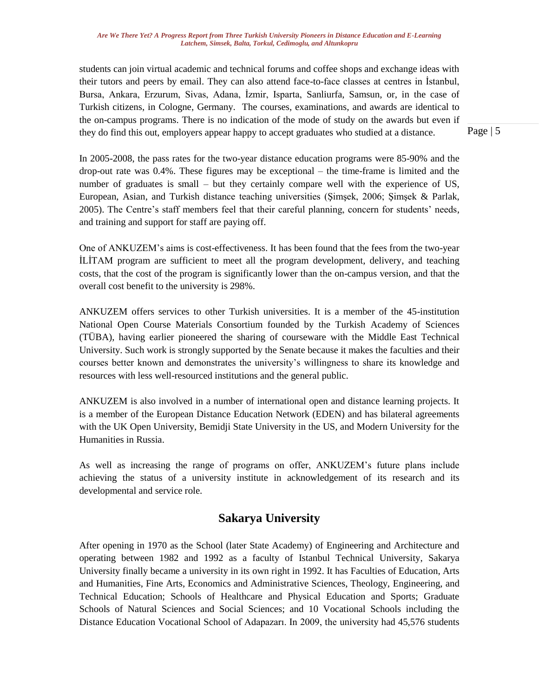#### *Are We There Yet? A Progress Report from Three Turkish University Pioneers in Distance Education and E-Learning Latchem, Simsek, Balta, Torkul, Cedimoglu, and Altunkopru*

students can join virtual academic and technical forums and coffee shops and exchange ideas with their tutors and peers by email. They can also attend face-to-face classes at centres in İstanbul, Bursa, Ankara, Erzurum, Sivas, Adana, İzmir, Isparta, Sanliurfa, Samsun, or, in the case of Turkish citizens, in Cologne, Germany. The courses, examinations, and awards are identical to the on-campus programs. There is no indication of the mode of study on the awards but even if they do find this out, employers appear happy to accept graduates who studied at a distance.

In 2005-2008, the pass rates for the two-year distance education programs were 85-90% and the drop-out rate was 0.4%. These figures may be exceptional – the time-frame is limited and the number of graduates is small – but they certainly compare well with the experience of US, European, Asian, and Turkish distance teaching universities (Şimşek, 2006; Şimşek & Parlak, 2005). The Centre's staff members feel that their careful planning, concern for students' needs, and training and support for staff are paying off.

One of ANKUZEM's aims is cost-effectiveness. It has been found that the fees from the two-year İLİTAM program are sufficient to meet all the program development, delivery, and teaching costs, that the cost of the program is significantly lower than the on-campus version, and that the overall cost benefit to the university is 298%.

ANKUZEM offers services to other Turkish universities. It is a member of the 45-institution National Open Course Materials Consortium founded by the Turkish Academy of Sciences (TÜBA), having earlier pioneered the sharing of courseware with the Middle East Technical University. Such work is strongly supported by the Senate because it makes the faculties and their courses better known and demonstrates the university's willingness to share its knowledge and resources with less well-resourced institutions and the general public.

ANKUZEM is also involved in a number of international open and distance learning projects. It is a member of the European Distance Education Network (EDEN) and has bilateral agreements with the UK Open University, Bemidji State University in the US, and Modern University for the Humanities in Russia.

As well as increasing the range of programs on offer, ANKUZEM's future plans include achieving the status of a university institute in acknowledgement of its research and its developmental and service role.

## **Sakarya University**

After opening in 1970 as the School (later State Academy) of Engineering and Architecture and operating between 1982 and 1992 as a faculty of [Istanbul Technical University,](http://en.wikipedia.org/wiki/Istanbul_Technical_University) Sakarya University finally became a university in its own right in 1992. It has Faculties of Education, Arts and Humanities, Fine Arts, Economics and Administrative Sciences, Theology, Engineering, and Technical Education; Schools of Healthcare and Physical Education and Sports; Graduate Schools of Natural Sciences and Social Sciences; and 10 Vocational Schools including the Distance Education Vocational School of Adapazarı. In 2009, the university had 45,576 students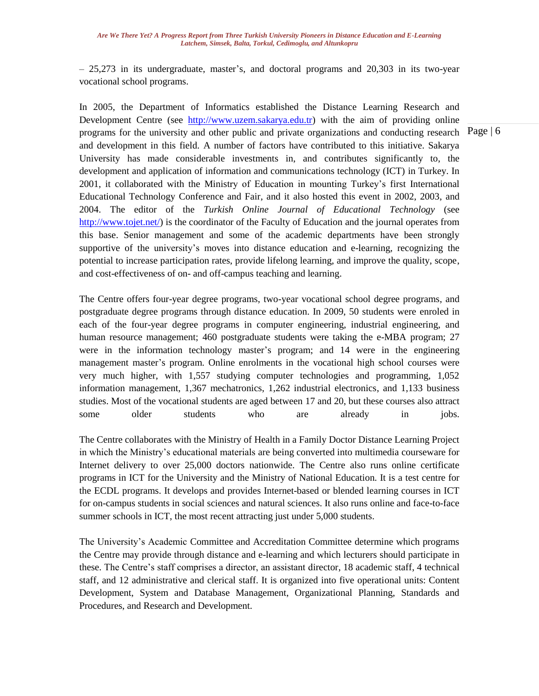– 25,273 in its undergraduate, master's, and doctoral programs and 20,303 in its two-year vocational school programs.

programs for the university and other public and private organizations and conducting research  $\text{Page} | 6$ In 2005, the Department of Informatics established the Distance Learning Research and Development Centre (see [http://www.uzem.sakarya.edu.tr\)](http://www.uzem.sakarya.edu.tr/) with the aim of providing online and development in this field. A number of factors have contributed to this initiative. Sakarya University has made considerable investments in, and contributes significantly to, the development and application of information and communications technology (ICT) in Turkey. In 2001, it collaborated with the Ministry of Education in mounting Turkey's first International Educational Technology Conference and Fair, and it also hosted this event in 2002, 2003, and 2004. The editor of the *Turkish Online Journal of Educational Technology* (see [http://www.tojet.net/\)](http://www.tojet.net/) is the coordinator of the Faculty of Education and the journal operates from this base. Senior management and some of the academic departments have been strongly supportive of the university's moves into distance education and e-learning, recognizing the potential to increase participation rates, provide lifelong learning, and improve the quality, scope, and cost-effectiveness of on- and off-campus teaching and learning.

The Centre offers four-year degree programs, two-year vocational school degree programs, and postgraduate degree programs through distance education. In 2009, 50 students were enroled in each of the four-year degree programs in computer engineering, industrial engineering, and human resource management; 460 postgraduate students were taking the e-MBA program; 27 were in the information technology master's program; and 14 were in the engineering management master's program. Online enrolments in the vocational high school courses were very much higher, with 1,557 studying computer technologies and programming, 1,052 information management, 1,367 mechatronics, 1,262 industrial electronics, and 1,133 business studies. Most of the vocational students are aged between 17 and 20, but these courses also attract some older students who are already in jobs.

The Centre collaborates with the Ministry of Health in a Family Doctor Distance Learning Project in which the Ministry's educational materials are being converted into multimedia courseware for Internet delivery to over 25,000 doctors nationwide. The Centre also runs online certificate programs in ICT for the University and the Ministry of National Education. It is a test centre for the ECDL programs. It develops and provides Internet-based or blended learning courses in ICT for on-campus students in social sciences and natural sciences. It also runs online and face-to-face summer schools in ICT, the most recent attracting just under 5,000 students.

The University's Academic Committee and Accreditation Committee determine which programs the Centre may provide through distance and e-learning and which lecturers should participate in these. The Centre's staff comprises a director, an assistant director, 18 academic staff, 4 technical staff, and 12 administrative and clerical staff. It is organized into five operational units: Content Development, System and Database Management, Organizational Planning, Standards and Procedures, and Research and Development.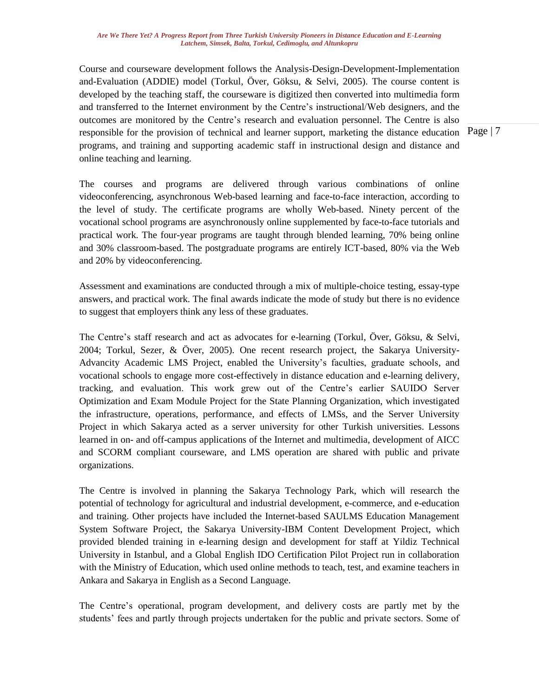responsible for the provision of technical and learner support, marketing the distance education  $\text{Page} \mid 7$ Course and courseware development follows the Analysis-Design-Development-Implementation and-Evaluation (ADDIE) model (Torkul, Över, Göksu, & Selvi, 2005). The course content is developed by the teaching staff, the courseware is digitized then converted into multimedia form and transferred to the Internet environment by the Centre's instructional/Web designers, and the outcomes are monitored by the Centre's research and evaluation personnel. The Centre is also programs, and training and supporting academic staff in instructional design and distance and online teaching and learning.

The courses and programs are delivered through various combinations of online videoconferencing, asynchronous Web-based learning and face-to-face interaction, according to the level of study. The certificate programs are wholly Web-based. Ninety percent of the vocational school programs are asynchronously online supplemented by face-to-face tutorials and practical work. The four-year programs are taught through blended learning, 70% being online and 30% classroom-based. The postgraduate programs are entirely ICT-based, 80% via the Web and 20% by videoconferencing.

Assessment and examinations are conducted through a mix of multiple-choice testing, essay-type answers, and practical work. The final awards indicate the mode of study but there is no evidence to suggest that employers think any less of these graduates.

The Centre's staff research and act as advocates for e-learning (Torkul, Över, Göksu, & Selvi, 2004; Torkul, Sezer, & Över, 2005). One recent research project, the Sakarya University-Advancity Academic LMS Project, enabled the University's faculties, graduate schools, and vocational schools to engage more cost-effectively in distance education and e-learning delivery, tracking, and evaluation. This work grew out of the Centre's earlier SAUIDO Server Optimization and Exam Module Project for the State Planning Organization, which investigated the infrastructure, operations, performance, and effects of LMSs, and the Server University Project in which Sakarya acted as a server university for other Turkish universities. Lessons learned in on- and off-campus applications of the Internet and multimedia, development of AICC and SCORM compliant courseware, and LMS operation are shared with public and private organizations.

The Centre is involved in planning the Sakarya Technology Park, which will research the potential of technology for agricultural and industrial development, e-commerce, and e-education and training. Other projects have included the Internet-based SAULMS Education Management System Software Project, the Sakarya University-IBM Content Development Project, which provided blended training in e-learning design and development for staff at Yildiz Technical University in Istanbul, and a Global English IDO Certification Pilot Project run in collaboration with the Ministry of Education, which used online methods to teach, test, and examine teachers in Ankara and Sakarya in English as a Second Language.

The Centre's operational, program development, and delivery costs are partly met by the students' fees and partly through projects undertaken for the public and private sectors. Some of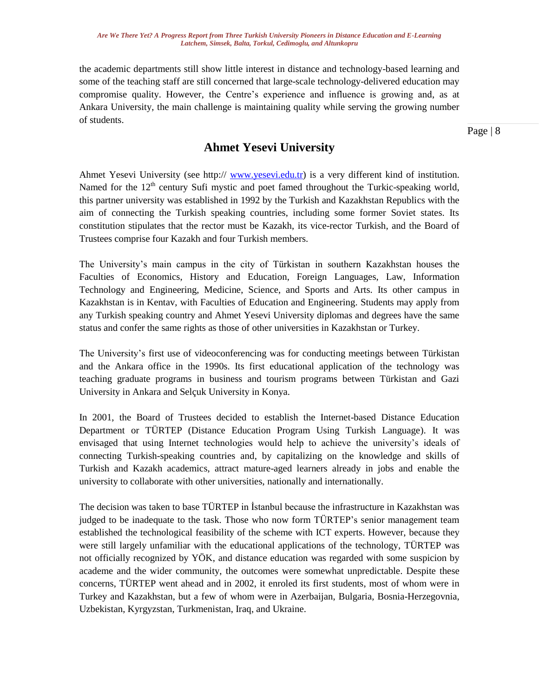the academic departments still show little interest in distance and technology-based learning and some of the teaching staff are still concerned that large-scale technology-delivered education may compromise quality. However, the Centre's experience and influence is growing and, as at Ankara University, the main challenge is maintaining quality while serving the growing number of students.

**Ahmet Yesevi University**

Ahmet Yesevi University (see http:// [www.yesevi.edu.tr\)](http://www.yesevi.edu.tr/) is a very different kind of institution. Named for the  $12<sup>th</sup>$  century [Sufi](http://en.wikipedia.org/wiki/Sufi) mystic and poet famed throughout the [Turkic-speaking](http://en.wikipedia.org/wiki/Turkic_languages) world, this partner university was established in 1992 by the Turkish and Kazakhstan Republics with the aim of connecting the Turkish speaking countries, including some former Soviet states. Its constitution stipulates that the rector must be Kazakh, its vice-rector Turkish, and the Board of Trustees comprise four Kazakh and four Turkish members.

The University's main campus in the city of Türkistan in southern Kazakhstan houses the Faculties of Economics, History and Education, Foreign Languages, Law, Information Technology and Engineering, Medicine, Science, and Sports and Arts. Its other campus in Kazakhstan is in Kentav, with Faculties of Education and Engineering. Students may apply from any Turkish speaking country and Ahmet Yesevi University diplomas and degrees have the same status and confer the same rights as those of other universities in Kazakhstan or Turkey.

The University's first use of videoconferencing was for conducting meetings between Türkistan and the Ankara office in the 1990s. Its first educational application of the technology was teaching graduate programs in business and tourism programs between Türkistan and Gazi University in Ankara and Selçuk University in Konya.

In 2001, the Board of Trustees decided to establish the Internet-based Distance Education Department or TÜRTEP (Distance Education Program Using Turkish Language). It was envisaged that using Internet technologies would help to achieve the university's ideals of connecting Turkish-speaking countries and, by capitalizing on the knowledge and skills of Turkish and Kazakh academics, attract mature-aged learners already in jobs and enable the university to collaborate with other universities, nationally and internationally.

The decision was taken to base TÜRTEP in İstanbul because the infrastructure in Kazakhstan was judged to be inadequate to the task. Those who now form TÜRTEP's senior management team established the technological feasibility of the scheme with ICT experts. However, because they were still largely unfamiliar with the educational applications of the technology, TÜRTEP was not officially recognized by YÖK, and distance education was regarded with some suspicion by academe and the wider community, the outcomes were somewhat unpredictable. Despite these concerns, TÜRTEP went ahead and in 2002, it enroled its first students, most of whom were in Turkey and Kazakhstan, but a few of whom were in Azerbaijan, Bulgaria, Bosnia-Herzegovnia, Uzbekistan, Kyrgyzstan, Turkmenistan, Iraq, and Ukraine.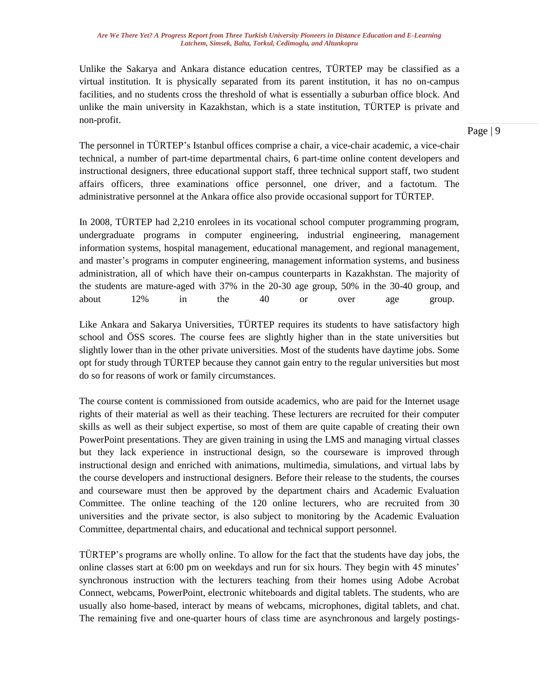#### *Are We There Yet? A Progress Report from Three Turkish University Pioneers in Distance Education and E-Learning Latchem, Simsek, Balta, Torkul, Cedimoglu, and Altunkopru*

Unlike the Sakarya and Ankara distance education centres, TÜRTEP may be classified as a virtual institution. It is physically separated from its parent institution, it has no on-campus facilities, and no students cross the threshold of what is essentially a suburban office block. And unlike the main university in Kazakhstan, which is a state institution, TÜRTEP is private and non-profit.

The personnel in TÜRTEP's Istanbul offices comprise a chair, a vice-chair academic, a vice-chair technical, a number of part-time departmental chairs, 6 part-time online content developers and instructional designers, three educational support staff, three technical support staff, two student affairs officers, three examinations office personnel, one driver, and a factotum. The administrative personnel at the Ankara office also provide occasional support for TÜRTEP.

In 2008, TÜRTEP had 2,210 enrolees in its vocational school computer programming program, undergraduate programs in computer engineering, industrial engineering, management information systems, hospital management, educational management, and regional management, and master's programs in computer engineering, management information systems, and business administration, all of which have their on-campus counterparts in Kazakhstan. The majority of the students are mature-aged with 37% in the 20-30 age group, 50% in the 30-40 group, and about 12% in the 40 or over age group.

Like Ankara and Sakarya Universities, TÜRTEP requires its students to have satisfactory high school and ÖSS scores. The course fees are slightly higher than in the state universities but slightly lower than in the other private universities. Most of the students have daytime jobs. Some opt for study through TÜRTEP because they cannot gain entry to the regular universities but most do so for reasons of work or family circumstances.

The course content is commissioned from outside academics, who are paid for the Internet usage rights of their material as well as their teaching. These lecturers are recruited for their computer skills as well as their subject expertise, so most of them are quite capable of creating their own PowerPoint presentations. They are given training in using the LMS and managing virtual classes but they lack experience in instructional design, so the courseware is improved through instructional design and enriched with animations, multimedia, simulations, and virtual labs by the course developers and instructional designers. Before their release to the students, the courses and courseware must then be approved by the department chairs and Academic Evaluation Committee. The online teaching of the 120 online lecturers, who are recruited from 30 universities and the private sector, is also subject to monitoring by the Academic Evaluation Committee, departmental chairs, and educational and technical support personnel.

TÜRTEP's programs are wholly online. To allow for the fact that the students have day jobs, the online classes start at 6:00 pm on weekdays and run for six hours. They begin with 45 minutes' synchronous instruction with the lecturers teaching from their homes using Adobe Acrobat Connect, webcams, PowerPoint, electronic whiteboards and digital tablets. The students, who are usually also home-based, interact by means of webcams, microphones, digital tablets, and chat. The remaining five and one-quarter hours of class time are asynchronous and largely postings-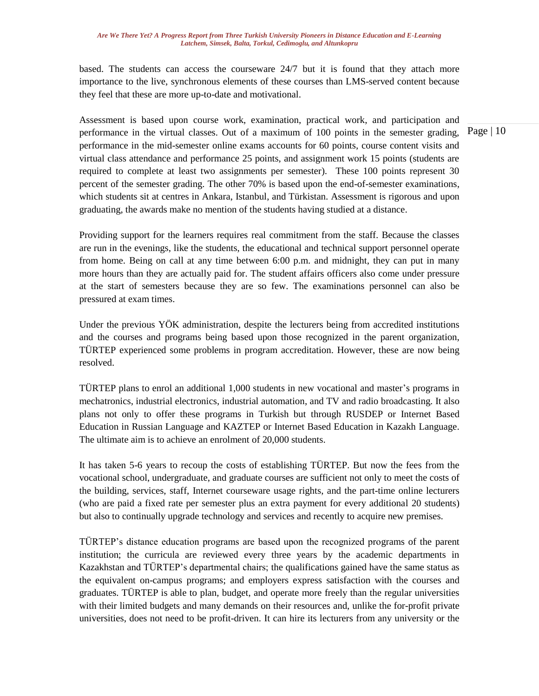based. The students can access the courseware 24/7 but it is found that they attach more importance to the live, synchronous elements of these courses than LMS-served content because they feel that these are more up-to-date and motivational.

performance in the virtual classes. Out of a maximum of 100 points in the semester grading, Page  $\vert$  10 Assessment is based upon course work, examination, practical work, and participation and performance in the mid-semester online exams accounts for 60 points, course content visits and virtual class attendance and performance 25 points, and assignment work 15 points (students are required to complete at least two assignments per semester). These 100 points represent 30 percent of the semester grading. The other 70% is based upon the end-of-semester examinations, which students sit at centres in Ankara, Istanbul, and Türkistan. Assessment is rigorous and upon graduating, the awards make no mention of the students having studied at a distance.

Providing support for the learners requires real commitment from the staff. Because the classes are run in the evenings, like the students, the educational and technical support personnel operate from home. Being on call at any time between 6:00 p.m. and midnight, they can put in many more hours than they are actually paid for. The student affairs officers also come under pressure at the start of semesters because they are so few. The examinations personnel can also be pressured at exam times.

Under the previous YÖK administration, despite the lecturers being from accredited institutions and the courses and programs being based upon those recognized in the parent organization, TÜRTEP experienced some problems in program accreditation. However, these are now being resolved.

TÜRTEP plans to enrol an additional 1,000 students in new vocational and master's programs in mechatronics, industrial electronics, industrial automation, and TV and radio broadcasting. It also plans not only to offer these programs in Turkish but through RUSDEP or Internet Based Education in Russian Language and KAZTEP or Internet Based Education in Kazakh Language. The ultimate aim is to achieve an enrolment of 20,000 students.

It has taken 5-6 years to recoup the costs of establishing TÜRTEP. But now the fees from the vocational school, undergraduate, and graduate courses are sufficient not only to meet the costs of the building, services, staff, Internet courseware usage rights, and the part-time online lecturers (who are paid a fixed rate per semester plus an extra payment for every additional 20 students) but also to continually upgrade technology and services and recently to acquire new premises.

TÜRTEP's distance education programs are based upon the recognized programs of the parent institution; the curricula are reviewed every three years by the academic departments in Kazakhstan and TÜRTEP's departmental chairs; the qualifications gained have the same status as the equivalent on-campus programs; and employers express satisfaction with the courses and graduates. TÜRTEP is able to plan, budget, and operate more freely than the regular universities with their limited budgets and many demands on their resources and, unlike the for-profit private universities, does not need to be profit-driven. It can hire its lecturers from any university or the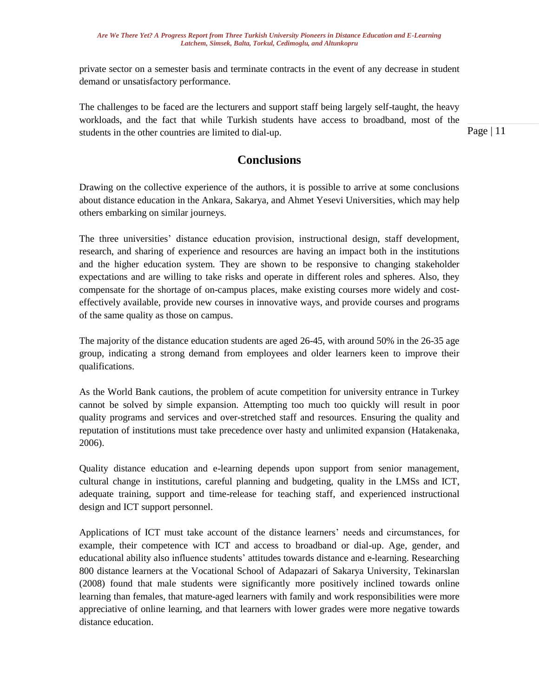private sector on a semester basis and terminate contracts in the event of any decrease in student demand or unsatisfactory performance.

The challenges to be faced are the lecturers and support staff being largely self-taught, the heavy workloads, and the fact that while Turkish students have access to broadband, most of the students in the other countries are limited to dial-up.

Page | 11

# **Conclusions**

Drawing on the collective experience of the authors, it is possible to arrive at some conclusions about distance education in the Ankara, Sakarya, and Ahmet Yesevi Universities, which may help others embarking on similar journeys.

The three universities' distance education provision, instructional design, staff development, research, and sharing of experience and resources are having an impact both in the institutions and the higher education system. They are shown to be responsive to changing stakeholder expectations and are willing to take risks and operate in different roles and spheres. Also, they compensate for the shortage of on-campus places, make existing courses more widely and costeffectively available, provide new courses in innovative ways, and provide courses and programs of the same quality as those on campus.

The majority of the distance education students are aged 26-45, with around 50% in the 26-35 age group, indicating a strong demand from employees and older learners keen to improve their qualifications.

As the World Bank cautions, the problem of acute competition for university entrance in Turkey cannot be solved by simple expansion. Attempting too much too quickly will result in poor quality programs and services and over-stretched staff and resources. Ensuring the quality and reputation of institutions must take precedence over hasty and unlimited expansion (Hatakenaka, 2006).

Quality distance education and e-learning depends upon support from senior management, cultural change in institutions, careful planning and budgeting, quality in the LMSs and ICT, adequate training, support and time-release for teaching staff, and experienced instructional design and ICT support personnel.

Applications of ICT must take account of the distance learners' needs and circumstances, for example, their competence with ICT and access to broadband or dial-up. Age, gender, and educational ability also influence students' attitudes towards distance and e-learning. Researching 800 distance learners at the Vocational School of Adapazari of Sakarya University, Tekinarslan (2008) found that male students were significantly more positively inclined towards online learning than females, that mature-aged learners with family and work responsibilities were more appreciative of online learning, and that learners with lower grades were more negative towards distance education.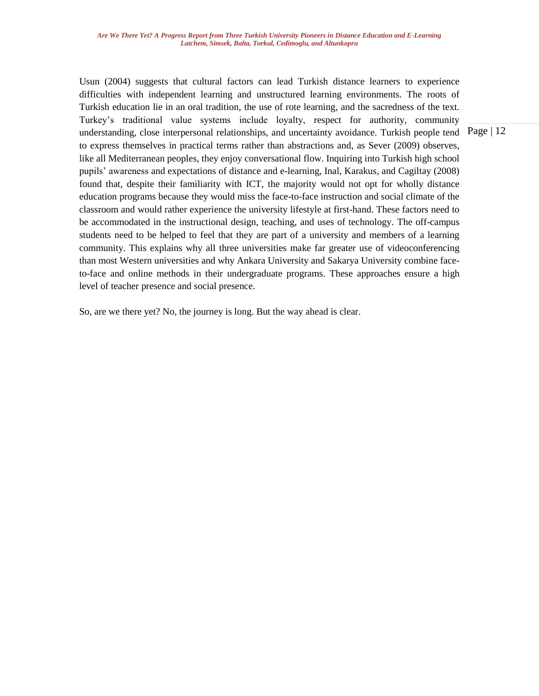understanding, close interpersonal relationships, and uncertainty avoidance. Turkish people tend  $\text{Page} \mid 12$ Usun (2004) suggests that cultural factors can lead Turkish distance learners to experience difficulties with independent learning and unstructured learning environments. The roots of Turkish education lie in an oral tradition, the use of rote learning, and the sacredness of the text. Turkey's traditional value systems include loyalty, respect for authority, community to express themselves in practical terms rather than abstractions and, as Sever (2009) observes, like all Mediterranean peoples, they enjoy conversational flow. Inquiring into Turkish high school pupils' awareness and expectations of distance and e-learning, Inal, Karakus, and Cagiltay (2008) found that, despite their familiarity with ICT, the majority would not opt for wholly distance education programs because they would miss the face-to-face instruction and social climate of the classroom and would rather experience the university lifestyle at first-hand. These factors need to be accommodated in the instructional design, teaching, and uses of technology. The off-campus students need to be helped to feel that they are part of a university and members of a learning community. This explains why all three universities make far greater use of videoconferencing than most Western universities and why Ankara University and Sakarya University combine faceto-face and online methods in their undergraduate programs. These approaches ensure a high level of teacher presence and social presence.

So, are we there yet? No, the journey is long. But the way ahead is clear.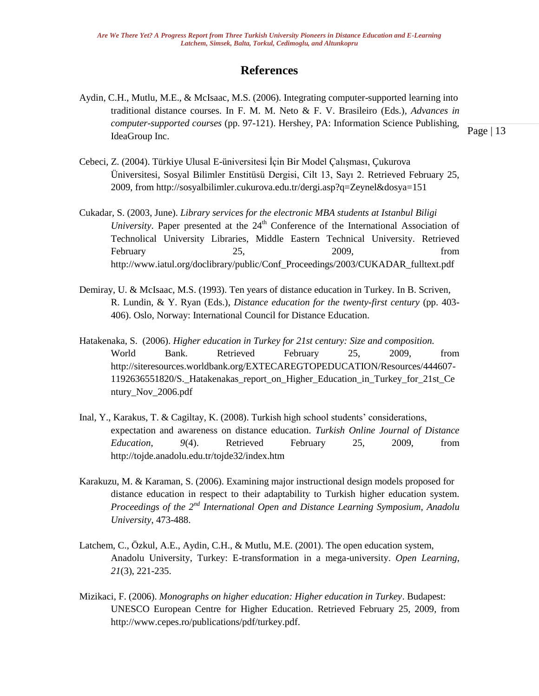### **References**

Aydin, C.H., Mutlu, M.E., & McIsaac, M.S. (2006). Integrating computer-supported learning into traditional distance courses. In F. M. M. Neto & F. V. Brasileiro (Eds.), *Advances in computer-supported courses* (pp. 97-121). Hershey, PA: Information Science Publishing, IdeaGroup Inc.

- Cebeci, Z. (2004). Türkiye Ulusal E-üniversitesi İçin Bir Model Çalışması, Çukurova Üniversitesi, Sosyal Bilimler Enstitüsü Dergisi, Cilt 13, Sayı 2. Retrieved February 25, 2009, fro[m http://sosyalbilimler.cukurova.edu.tr/dergi.asp?q=Zeynel&dosya=151](http://sosyalbilimler.cukurova.edu.tr/dergi.asp?q=Zeynel&dosya=151)
- Cukadar, S. (2003, June). *Library services for the electronic MBA students at Istanbul Biligi University*. Paper presented at the  $24<sup>th</sup>$  Conference of the International Association of Technolical University Libraries, Middle Eastern Technical University. Retrieved February 25, 2009, from [http://www.iatul.org/doclibrary/public/Conf\\_Proceedings/2003/CUKADAR\\_fulltext.pdf](http://www.iatul.org/doclibrary/public/Conf_Proceedings/2003/CUKADAR_fulltext.pdf)
- Demiray, U. & McIsaac, M.S. (1993). Ten years of distance education in Turkey. In B. Scriven, R. Lundin, & Y. Ryan (Eds.), *Distance education for the twenty-first century* (pp. 403- 406). Oslo, Norway: International Council for Distance Education.
- Hatakenaka, S. (2006). *Higher education in Turkey for 21st century: Size and composition.* World Bank. Retrieved February 25, 2009, from http://siteresources.worldbank.org/EXTECAREGTOPEDUCATION/Resources/444607- 1192636551820/S.\_Hatakenakas\_report\_on\_Higher\_Education\_in\_Turkey\_for\_21st\_Ce ntury\_Nov\_2006.pdf
- Inal, Y., Karakus, T. & Cagiltay, K. (2008). Turkish high school students' considerations, expectation and awareness on distance education. *Turkish Online Journal of Distance Education*, *9*(4). Retrieved February 25, 2009, from http://tojde.anadolu.edu.tr/tojde32/index.htm
- Karakuzu, M. & Karaman, S. (2006). Examining major instructional design models proposed for distance education in respect to their adaptability to Turkish higher education system. *Proceedings of the 2nd International Open and Distance Learning Symposium, Anadolu University*, 473-488.
- Latchem, C., Özkul, A.E., Aydin, C.H., & Mutlu, M.E. (2001). The open education system, Anadolu University, Turkey: E-transformation in a mega-university. *Open Learning*, *21*(3), 221-235.
- Mizikaci, F. (2006). *Monographs on higher education: Higher education in Turkey*. Budapest: UNESCO European Centre for Higher Education. Retrieved February 25, 2009, from http://www.cepes.ro/publications/pdf/turkey.pdf.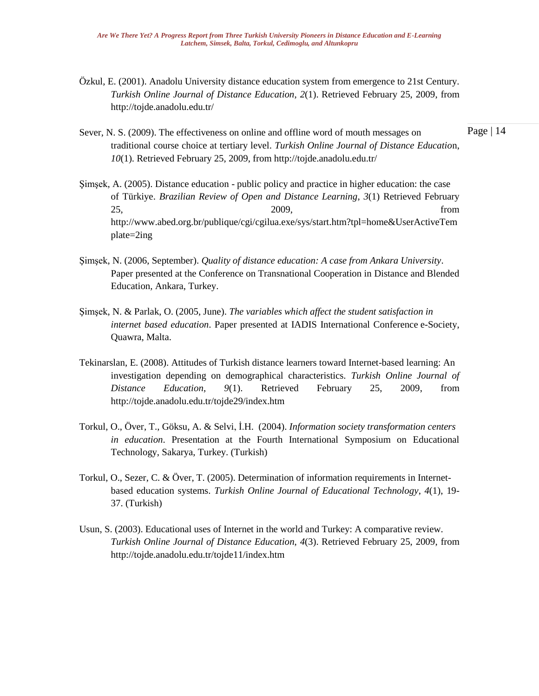- Özkul, E. (2001). Anadolu University distance education system from emergence to 21st Century. *Turkish Online Journal of Distance Education*, *2*(1). Retrieved February 25, 2009, from <http://tojde.anadolu.edu.tr/>
- Page | 14 Sever, N. S. (2009). The effectiveness on online and offline word of mouth messages on traditional course choice at tertiary level. *Turkish Online Journal of Distance Educatio*n, *10*(1). Retrieved February 25, 2009, from http://tojde.anadolu.edu.tr/
- Şimşek, A. (2005). Distance education public policy and practice in higher education: the case of Türkiye. *Brazilian Review of Open and Distance Learning*, *3*(1) Retrieved February 25, 2009, from [http://www.abed.org.br/publique/cgi/cgilua.exe/sys/start.htm?tpl=home&UserActiveTem](http://www.abed.org.br/publique/cgi/cgilua.exe/sys/start.htm?tpl=home&UserActiveTemplate=2ing) [plate=2ing](http://www.abed.org.br/publique/cgi/cgilua.exe/sys/start.htm?tpl=home&UserActiveTemplate=2ing)
- Şimşek, N. (2006, September). *Quality of distance education: A case from Ankara University*. Paper presented at the Conference on Transnational Cooperation in Distance and Blended Education*,* Ankara, Turkey.
- Şimşek, N. & Parlak, O. (2005, June). *The variables which affect the student satisfaction in internet based education*. Paper presented at IADIS International Conference e-Society, Quawra, Malta.
- Tekinarslan, E. (2008). Attitudes of Turkish distance learners toward Internet-based learning: An investigation depending on demographical characteristics. *Turkish Online Journal of Distance Education*, *9*(1). Retrieved February 25, 2009, from http://tojde.anadolu.edu.tr/tojde29/index.htm
- Torkul, O., Över, T., Göksu, A. & Selvi, İ.H. (2004). *Information society transformation centers in education*. Presentation at the Fourth International Symposium on Educational Technology, Sakarya, Turkey. (Turkish)
- Torkul, O., Sezer, C. & Över, T. (2005). Determination of information requirements in Internetbased education systems. *Turkish Online Journal of Educational Technology*, *4*(1), 19- 37. (Turkish)
- Usun, S. (2003). Educational uses of Internet in the world and Turkey: A comparative review. *Turkish Online Journal of Distance Education*, *4*(3). Retrieved February 25, 2009, from <http://tojde.anadolu.edu.tr/tojde11/index.htm>